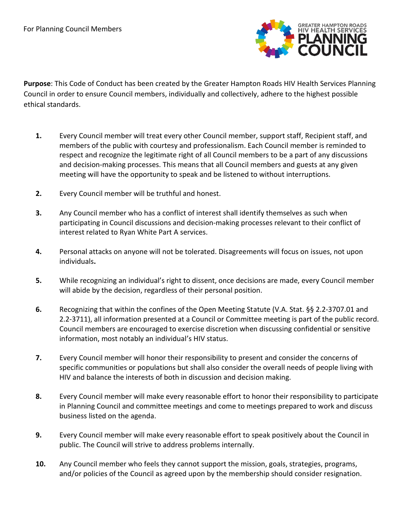

**Purpose**: This Code of Conduct has been created by the Greater Hampton Roads HIV Health Services Planning Council in order to ensure Council members, individually and collectively, adhere to the highest possible ethical standards.

- **1.** Every Council member will treat every other Council member, support staff, Recipient staff, and members of the public with courtesy and professionalism. Each Council member is reminded to respect and recognize the legitimate right of all Council members to be a part of any discussions and decision-making processes. This means that all Council members and guests at any given meeting will have the opportunity to speak and be listened to without interruptions.
- **2.** Every Council member will be truthful and honest.
- **3.** Any Council member who has a conflict of interest shall identify themselves as such when participating in Council discussions and decision-making processes relevant to their conflict of interest related to Ryan White Part A services.
- **4.** Personal attacks on anyone will not be tolerated. Disagreements will focus on issues, not upon individuals**.**
- **5.** While recognizing an individual's right to dissent, once decisions are made, every Council member will abide by the decision, regardless of their personal position.
- **6.** Recognizing that within the confines of the Open Meeting Statute (V.A. Stat. §§ 2.2-3707.01 and 2.2-3711), all information presented at a Council or Committee meeting is part of the public record. Council members are encouraged to exercise discretion when discussing confidential or sensitive information, most notably an individual's HIV status.
- **7.** Every Council member will honor their responsibility to present and consider the concerns of specific communities or populations but shall also consider the overall needs of people living with HIV and balance the interests of both in discussion and decision making.
- **8.** Every Council member will make every reasonable effort to honor their responsibility to participate in Planning Council and committee meetings and come to meetings prepared to work and discuss business listed on the agenda.
- **9.** Every Council member will make every reasonable effort to speak positively about the Council in public. The Council will strive to address problems internally.
- **10.** Any Council member who feels they cannot support the mission, goals, strategies, programs, and/or policies of the Council as agreed upon by the membership should consider resignation.